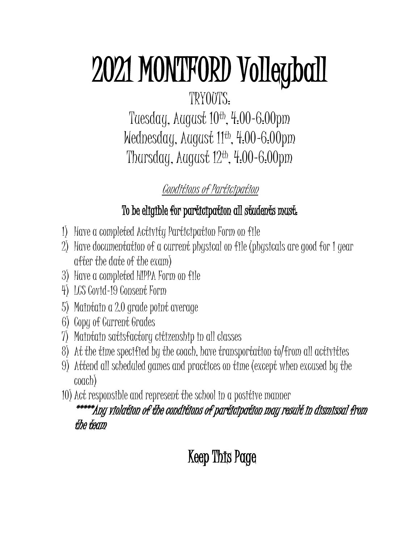# 2021 MONTFORD Volleyball

## TRYOUTS:

Tuesday, August 10<sup>th</sup>, 4.00-6.00pm Wednesday, August 11th , 4:00-6:00pm Thursday, August 12th, 4:00-6:00pm

## Conditions of Participation

### To be eligible for participation all students must:

- 1) Have a completed Activity Participation Form on file
- 2) Have documentation of a current physical on file (physicals are good for 1 year after the date of the exam)
- 3) Have a completed HIPPA Form on file
- 4) LCS Covid-19 Consent Form
- 5) Maintain a 2.0 grade point average
- 6) Copy of Current Grades
- 7) Maintain satisfactory citizenship in all classes
- 8) At the time specified by the coach, have transportation to/from all activities
- 9) Attend all scheduled games and practices on time (except when excused by the coach)
- 10)Act responsible and represent the school in a positive manner

#### \*\*\*\*\*Any violation of the conditions of participation may result in dismissal from the team

# Keep This Page